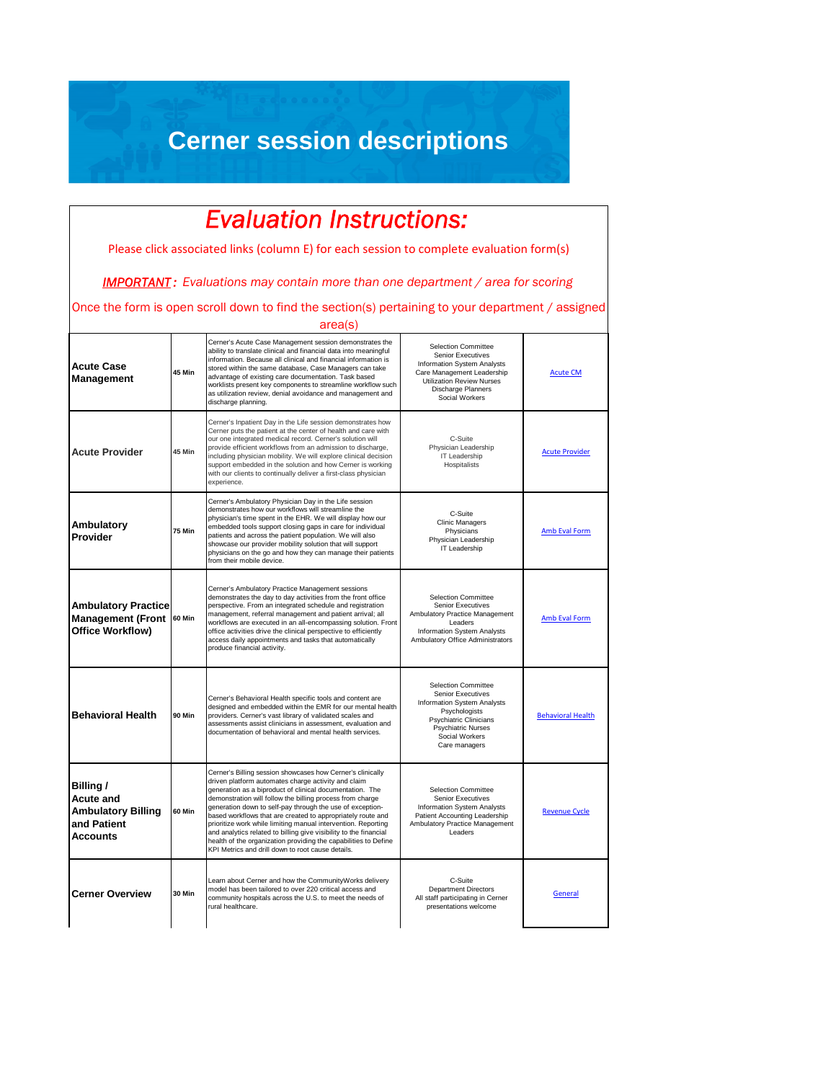## **Cerner session descriptions**

## *Evaluation Instructions:*

Please click associated links (column E) for each session to complete evaluation form(s)

*IMPORTANT : Evaluations may contain more than one department / area for scoring* 

Once the form is open scroll down to find the section(s) pertaining to your department / assigned

**Acute Case Management 45 Min** Cerner's Acute Case Management session demonstrates the ability to translate clinical and financial data into meaningful information. Because all clinical and financial information is stored within the same database, Case Managers can take advantage of existing care documentation. Task based worklists present key components to streamline workflow such as utilization review, denial avoidance and management and discharge planning. Selection Committee Senior Executives Information System Analysts Care Management Leadership Utilization Review Nurses Discharge Planners Social Workers [Acute CM](https://forms.office.com/Pages/ResponsePage.aspx?id=JmY5UpSWJUyxrvUmx1bMNXyu5USoOZRFlt8S4dDAYrJUQkJJT0NOUTNYTFFFUkJMQjZOR05DOERWVy4u) **Acute Provider 45 Min** Cerner's Inpatient Day in the Life session demonstrates how Cerner puts the patient at the center of health and care with our one integrated medical record. Cerner's solution will provide efficient workflows from an admission to discharge, including physician mobility. We will explore clinical decision support embedded in the solution and how Cerner is working with our clients to continually deliver a first-class physician experience. C-Suite Physician Leadership IT Leadership Hospitalists [Acute Provider](https://forms.office.com/Pages/ResponsePage.aspx?id=JmY5UpSWJUyxrvUmx1bMNXyu5USoOZRFlt8S4dDAYrJUQzNIUEpFWk9NSUU1SlYxWDBNR1pGTTgxTi4u) **Ambulatory Provider 75 Min** Cerner's Ambulatory Physician Day in the Life session demonstrates how our workflows will streamline the physician's time spent in the EHR. We will display how our embedded tools support closing gaps in care for individual patients and across the patient population. We will also showcase our provider mobility solution that will support physicians on the go and how they can manage their patients from their mobile device. C-Suite Clinic Managers **Physicians** Physician Leadership IT Leadership [Amb Eval Form](https://forms.office.com/Pages/ResponsePage.aspx?id=JmY5UpSWJUyxrvUmx1bMNXyu5USoOZRFlt8S4dDAYrJUNU00MlpCQ1VJMURENU9HTDhLWUpKWFBMUC4u) **Ambulatory Practice Management (Front Office Workflow) 60 Min** Cerner's Ambulatory Practice Management sessions demonstrates the day to day activities from the front office perspective. From an integrated schedule and registration management, referral management and patient arrival; all workflows are executed in an all-encompassing solution. Front office activities drive the clinical perspective to efficiently access daily appointments and tasks that automatically produce financial activity. Selection Committee Senior Executives Ambulatory Practice Management Leaders Information System Analysts Ambulatory Office Administrators [Amb Eval Form](https://forms.office.com/Pages/ResponsePage.aspx?id=JmY5UpSWJUyxrvUmx1bMNXyu5USoOZRFlt8S4dDAYrJUNU00MlpCQ1VJMURENU9HTDhLWUpKWFBMUC4u) **Behavioral Health** 90 Min Cerner's Behavioral Health specific tools and content are designed and embedded within the EMR for our mental health providers. Cerner's vast library of validated scales and assessments assist clinicians in assessment, evaluation and documentation of behavioral and mental health services. Selection Committee Senior Executives Information System Analysts **Psychologists** Psychiatric Clinicians Psychiatric Nurses Social Workers Care managers [Behavioral Health](https://forms.office.com/Pages/ResponsePage.aspx?id=JmY5UpSWJUyxrvUmx1bMNXyu5USoOZRFlt8S4dDAYrJUNTRSVjJLWUxXTDI1UkhEMUoySzU1Q0oxWC4u) **Billing / Acute and Ambulatory Billing and Patient Accounts 60 Min** Cerner's Billing session showcases how Cerner's clinically driven platform automates charge activity and claim generation as a biproduct of clinical documentation. The demonstration will follow the billing process from charge generation down to self-pay through the use of exceptionased workflows that are created to appropriately route and prioritize work while limiting manual intervention. Reporting and analytics related to billing give visibility to the financial health of the organization providing the capabilities to Define KPI Metrics and drill down to root cause details. Selection Committee Senior Executives Information System Analysts Patient Accounting Leadership Ambulatory Practice Management Leaders [Revenue Cycle](https://forms.office.com/Pages/ResponsePage.aspx?id=JmY5UpSWJUyxrvUmx1bMNXyu5USoOZRFlt8S4dDAYrJUOTNDSEJKSTA0T1JIRzQ1TDlWUExUT1U5RC4u) **Cerner Overview 30 Min** Learn about Cerner and how the CommunityWorks delivery model has been tailored to over 220 critical access and community hospitals across the U.S. to meet the needs of rural healthcare. C-Suite Department Directors All staff participating in Cerner presentations welcome [General](https://forms.office.com/Pages/ResponsePage.aspx?id=JmY5UpSWJUyxrvUmx1bMNXyu5USoOZRFlt8S4dDAYrJUMDJGOERCOTRHU0NBWjJRTUQ0VVRGTlhDVC4u) area(s)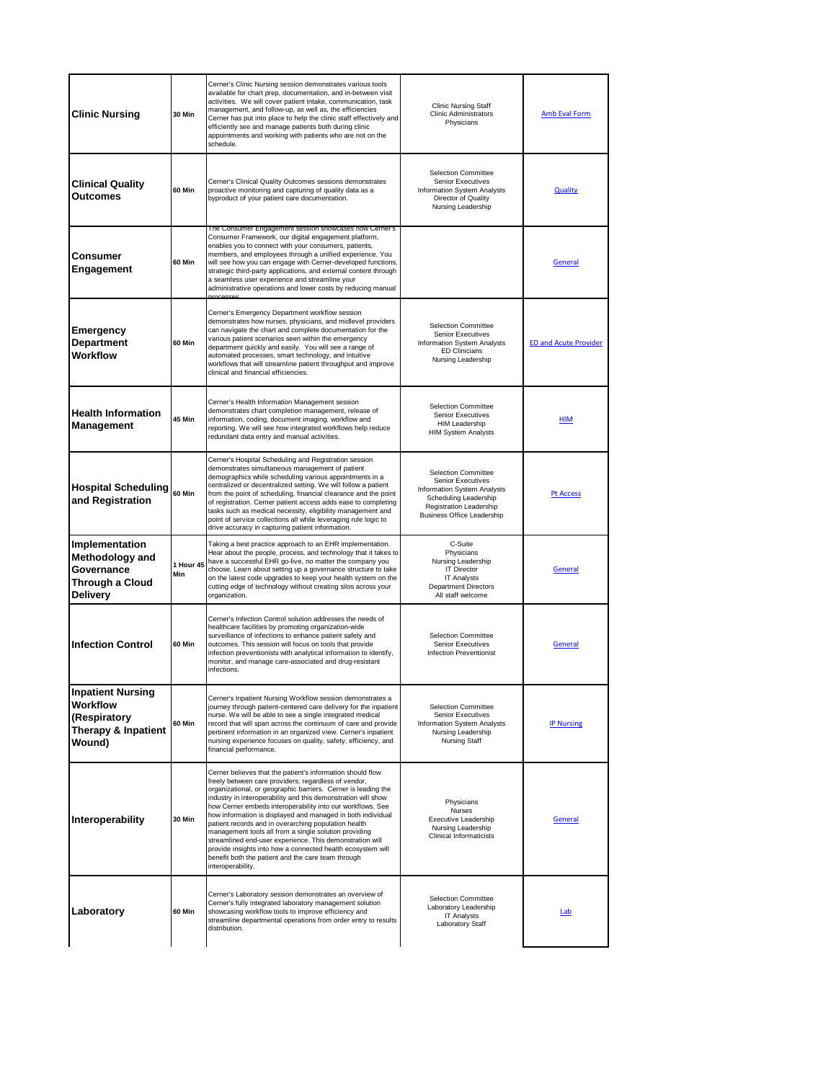| <b>Clinic Nursing</b>                                                                 | 30 Min           | Cerner's Clinic Nursing session demonstrates various tools<br>available for chart prep, documentation, and in-between visit<br>activities. We will cover patient intake, communication, task<br>management, and follow-up, as well as, the efficiencies<br>Cerner has put into place to help the clinic staff effectively and<br>efficiently see and manage patients both during clinic<br>appointments and working with patients who are not on the<br>schedule.                                                                                                                                                                                                                                        | <b>Clinic Nursing Staff</b><br><b>Clinic Administrators</b><br>Physicians                                                                                               | Amb Eval Form                |
|---------------------------------------------------------------------------------------|------------------|----------------------------------------------------------------------------------------------------------------------------------------------------------------------------------------------------------------------------------------------------------------------------------------------------------------------------------------------------------------------------------------------------------------------------------------------------------------------------------------------------------------------------------------------------------------------------------------------------------------------------------------------------------------------------------------------------------|-------------------------------------------------------------------------------------------------------------------------------------------------------------------------|------------------------------|
| <b>Clinical Quality</b><br>Outcomes                                                   | 60 Min           | Cerner's Clinical Quality Outcomes sessions demonstrates<br>proactive monitoring and capturing of quality data as a<br>byproduct of your patient care documentation.                                                                                                                                                                                                                                                                                                                                                                                                                                                                                                                                     | <b>Selection Committee</b><br>Senior Executives<br>Information System Analysts<br>Director of Quality<br>Nursing Leadership                                             | <b>Quality</b>               |
| Consumer<br>Engagement                                                                | 60 Min           | The Consumer Engagement session showcases how Cerner's<br>Consumer Framework, our digital engagement platform,<br>enables you to connect with your consumers, patients,<br>members, and employees through a unified experience. You<br>will see how you can engage with Cerner-developed functions,<br>strategic third-party applications, and external content through<br>a seamless user experience and streamline your<br>administrative operations and lower costs by reducing manual                                                                                                                                                                                                                |                                                                                                                                                                         | General                      |
| <b>Emergency</b><br><b>Department</b><br>Workflow                                     | 60 Min           | Cerner's Emergency Department workflow session<br>demonstrates how nurses, physicians, and midlevel providers<br>can navigate the chart and complete documentation for the<br>various patient scenarios seen within the emergency<br>department quickly and easily. You will see a range of<br>automated processes, smart technology, and intuitive<br>workflows that will streamline patient throughput and improve<br>clinical and financial efficiencies.                                                                                                                                                                                                                                             | <b>Selection Committee</b><br>Senior Executives<br><b>Information System Analysts</b><br><b>ED Clinicians</b><br>Nursing Leadership                                     | <b>ED and Acute Provider</b> |
| <b>Health Information</b><br>Management                                               | 45 Min           | Cerner's Health Information Management session<br>demonstrates chart completion management, release of<br>information, coding, document imaging, workflow and<br>reporting. We will see how integrated workflows help reduce<br>redundant data entry and manual activities.                                                                                                                                                                                                                                                                                                                                                                                                                              | <b>Selection Committee</b><br><b>Senior Executives</b><br>HIM Leadership<br><b>HIM System Analysts</b>                                                                  | <b>HIM</b>                   |
| <b>Hospital Scheduling</b><br>and Registration                                        | 60 Min           | Cerner's Hospital Scheduling and Registration session<br>demonstrates simultaneous management of patient<br>demographics while scheduling various appointments in a<br>centralized or decentralized setting. We will follow a patient<br>from the point of scheduling, financial clearance and the point<br>of registration. Cerner patient access adds ease to completing<br>tasks such as medical necessity, eligibility management and<br>point of service collections all while leveraging rule logic to<br>drive accuracy in capturing patient information.                                                                                                                                         | <b>Selection Committee</b><br>Senior Executives<br>Information System Analysts<br>Scheduling Leadership<br>Registration Leadership<br><b>Business Office Leadership</b> | Pt Access                    |
| Implementation<br><b>Methodology and</b><br>Governance<br>Through a Cloud<br>Delivery | 1 Hour 45<br>Min | Taking a best practice approach to an EHR implementation.<br>Hear about the people, process, and technology that it takes to<br>have a successful EHR go-live, no matter the company you<br>choose. Learn about setting up a governance structure to take<br>on the latest code upgrades to keep your health system on the<br>cutting edge of technology without creating silos across your<br>organization.                                                                                                                                                                                                                                                                                             | C-Suite<br>Physicians<br>Nursing Leadership<br><b>IT Director</b><br><b>IT Analysts</b><br><b>Department Directors</b><br>All staff welcome                             | General                      |
| <b>Infection Control</b>                                                              | 60 Min           | Cerner's Infection Control solution addresses the needs of<br>healthcare facilities by promoting organization-wide<br>surveillance of infections to enhance patient safety and<br>outcomes. This session will focus on tools that provide<br>infection preventionists with analytical information to identify,<br>monitor, and manage care-associated and drug-resistant<br>infections.                                                                                                                                                                                                                                                                                                                  | <b>Selection Committee</b><br><b>Senior Executives</b><br><b>Infection Preventionist</b>                                                                                | General                      |
| <b>Inpatient Nursing</b><br>Workflow<br>(Respiratory<br>Therapy & Inpatient<br>Wound) | 60 Min           | Cerner's Inpatient Nursing Workflow session demonstrates a<br>journey through patient-centered care delivery for the inpatient<br>nurse. We will be able to see a single integrated medical<br>record that will span across the continuum of care and provide<br>pertinent information in an organized view. Cerner's inpatient<br>nursing experience focuses on quality, safety, efficiency, and<br>financial performance.                                                                                                                                                                                                                                                                              | <b>Selection Committee</b><br>Senior Executives<br>Information System Analysts<br>Nursing Leadership<br>Nursing Staff                                                   | <b>IP Nursing</b>            |
| <b>Interoperability</b>                                                               | <b>30 Min</b>    | Cerner believes that the patient's information should flow<br>freely between care providers; regardless of vendor,<br>organizational, or geographic barriers. Cerner is leading the<br>industry in interoperability and this demonstration will show<br>how Cerner embeds interoperability into our workflows. See<br>how information is displayed and managed in both individual<br>patient records and in overarching population health<br>management tools all from a single solution providing<br>streamlined end-user experience. This demonstration will<br>provide insights into how a connected health ecosystem will<br>benefit both the patient and the care team through<br>interoperability. | Physicians<br><b>Nurses</b><br>Executive Leadership<br>Nursing Leadership<br><b>Clinical Informaticists</b>                                                             | <b>General</b>               |
| Laboratory                                                                            | 60 Min           | Cerner's Laboratory session demonstrates an overview of<br>Cerner's fully integrated laboratory management solution<br>showcasing workflow tools to improve efficiency and<br>streamline departmental operations from order entry to results<br>distribution.                                                                                                                                                                                                                                                                                                                                                                                                                                            | <b>Selection Committee</b><br>Laboratory Leadership<br><b>IT Analysts</b><br><b>Laboratory Staff</b>                                                                    | Lab                          |